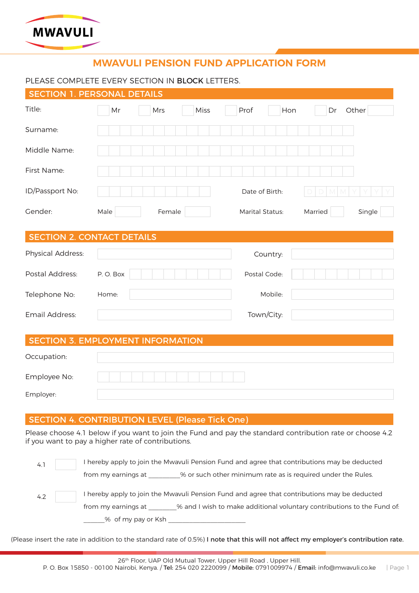

# **MWAVULI PENSION FUND APPLICATION FORM**

## PLEASE COMPLETE EVERY SECTION IN **BLOCK** LETTERS.

|                   | <b>SECTION 1. PERSONAL DETAILS</b>                                                                                                                              |                 |                   |
|-------------------|-----------------------------------------------------------------------------------------------------------------------------------------------------------------|-----------------|-------------------|
| Title:            | Miss<br>Mr<br>Mrs                                                                                                                                               | Prof<br>Hon     | Other<br>Dr       |
| Surname:          |                                                                                                                                                                 |                 |                   |
| Middle Name:      |                                                                                                                                                                 |                 |                   |
| First Name:       |                                                                                                                                                                 |                 |                   |
| ID/Passport No:   |                                                                                                                                                                 | Date of Birth:  |                   |
| Gender:           | Male<br>Female                                                                                                                                                  | Marital Status: | Single<br>Married |
|                   | <b>SECTION 2. CONTACT DETAILS</b>                                                                                                                               |                 |                   |
| Physical Address: |                                                                                                                                                                 | Country:        |                   |
| Postal Address:   | P.O. Box                                                                                                                                                        | Postal Code:    |                   |
| Telephone No:     | Home:                                                                                                                                                           | Mobile:         |                   |
| Email Address:    |                                                                                                                                                                 | Town/City:      |                   |
|                   | <b>SECTION 3. EMPLOYMENT INFORMATION</b>                                                                                                                        |                 |                   |
| Occupation:       |                                                                                                                                                                 |                 |                   |
| Employee No:      |                                                                                                                                                                 |                 |                   |
| Employer:         |                                                                                                                                                                 |                 |                   |
|                   | <b>SECTION 4. CONTRIBUTION LEVEL (Please Tick One)</b>                                                                                                          |                 |                   |
|                   | Please choose 4.1 below if you want to join the Fund and pay the standard contribution rate or choose 4.2<br>if you want to pay a higher rate of contributions. |                 |                   |

| 4.1 | I hereby apply to join the Mwavuli Pension Fund and agree that contributions may be deducted   |
|-----|------------------------------------------------------------------------------------------------|
|     | % or such other minimum rate as is required under the Rules.<br>from my earnings at            |
| 4.2 | I hereby apply to join the Mwavuli Pension Fund and agree that contributions may be deducted   |
|     | % and I wish to make additional voluntary contributions to the Fund of:<br>from my earnings at |
|     | % of my pay or Ksh                                                                             |

(Please insert the rate in addition to the standard rate of 0.5%) I note that this will not affect my employer's contribution rate.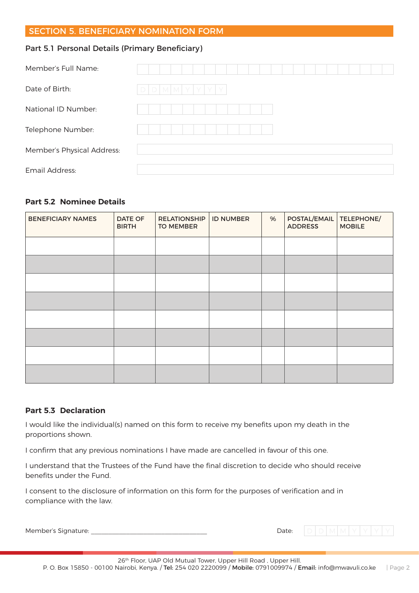# SECTION 5. BENEFICIARY NOMINATION FORM

# Part 5.1 Personal Details (Primary Beneficiary)

| Member's Full Name:        |                 |  |  |  |  |  |  |  |  |  |  |
|----------------------------|-----------------|--|--|--|--|--|--|--|--|--|--|
| Date of Birth:             | d d m m y y y y |  |  |  |  |  |  |  |  |  |  |
| National ID Number:        |                 |  |  |  |  |  |  |  |  |  |  |
| Telephone Number:          |                 |  |  |  |  |  |  |  |  |  |  |
| Member's Physical Address: |                 |  |  |  |  |  |  |  |  |  |  |
| Email Address:             |                 |  |  |  |  |  |  |  |  |  |  |

#### **Part 5.2 Nominee Details**

| <b>BENEFICIARY NAMES</b> | <b>DATE OF</b><br><b>BIRTH</b> | <b>RELATIONSHIP</b><br><b>TO MEMBER</b> | <b>ID NUMBER</b> | % | POSTAL/EMAIL<br><b>ADDRESS</b> | TELEPHONE/<br><b>MOBILE</b> |  |
|--------------------------|--------------------------------|-----------------------------------------|------------------|---|--------------------------------|-----------------------------|--|
|                          |                                |                                         |                  |   |                                |                             |  |
|                          |                                |                                         |                  |   |                                |                             |  |
|                          |                                |                                         |                  |   |                                |                             |  |
|                          |                                |                                         |                  |   |                                |                             |  |
|                          |                                |                                         |                  |   |                                |                             |  |
|                          |                                |                                         |                  |   |                                |                             |  |
|                          |                                |                                         |                  |   |                                |                             |  |
|                          |                                |                                         |                  |   |                                |                             |  |

#### **Part 5.3 Declaration**

I would like the individual(s) named on this form to receive my benefits upon my death in the proportions shown.

I confirm that any previous nominations I have made are cancelled in favour of this one.

I understand that the Trustees of the Fund have the final discretion to decide who should receive benefits under the Fund.

I consent to the disclosure of information on this form for the purposes of verification and in compliance with the law.

| Member's Signature: | Date: |
|---------------------|-------|
|                     |       |

 $D$  M  $M$  Y Y